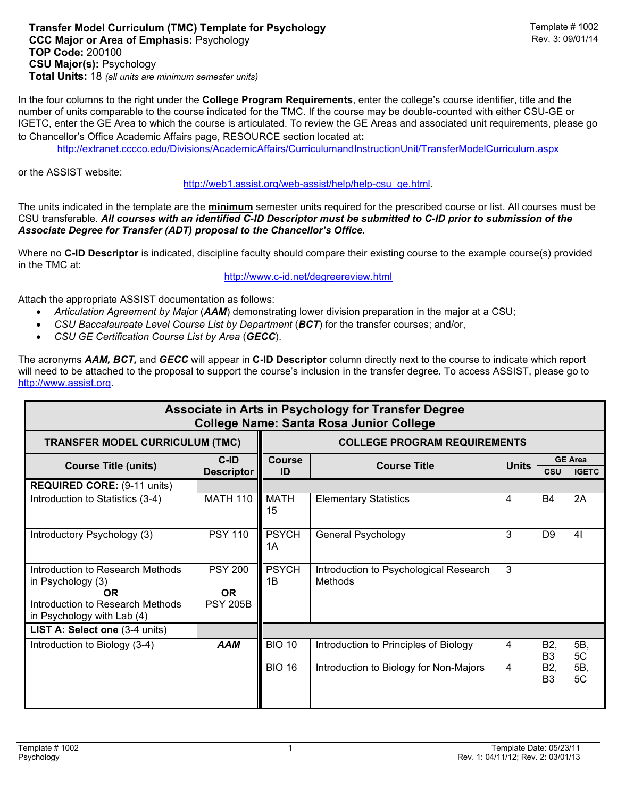## **Transfer Model Curriculum (TMC) Template for Psychology** Template # 1002 **CCC Major or Area of Emphasis: Psychology TOP Code:** 200100 **CSU Major(s):** Psychology **Total Units:** 18 *(all units are minimum semester units)*

In the four columns to the right under the **College Program Requirements**, enter the college's course identifier, title and the number of units comparable to the course indicated for the TMC. If the course may be double-counted with either CSU-GE or IGETC, enter the GE Area to which the course is articulated. To review the GE Areas and associated unit requirements, please go to Chancellor's Office Academic Affairs page, RESOURCE section located at:

<http://extranet.cccco.edu/Divisions/AcademicAffairs/CurriculumandInstructionUnit/TransferModelCurriculum.aspx>

or the ASSIST website:

[http://web1.assist.org/web-assist/help/help-csu\\_ge.html.](http://web1.assist.org/web-assist/help/help-csu_ge.html)

The units indicated in the template are the **minimum** semester units required for the prescribed course or list. All courses must be CSU transferable. *All courses with an identified C-ID Descriptor must be submitted to C-ID prior to submission of the Associate Degree for Transfer (ADT) proposal to the Chancellor's Office.*

Where no **C-ID Descriptor** is indicated, discipline faculty should compare their existing course to the example course(s) provided in the TMC at:

<http://www.c-id.net/degreereview.html>

Attach the appropriate ASSIST documentation as follows:

- *Articulation Agreement by Major* (*AAM*) demonstrating lower division preparation in the major at a CSU;
- *CSU Baccalaureate Level Course List by Department (BCT)* for the transfer courses: and/or,
- *CSU GE Certification Course List by Area* (*GECC*).

The acronyms *AAM, BCT,* and *GECC* will appear in **C-ID Descriptor** column directly next to the course to indicate which report will need to be attached to the proposal to support the course's inclusion in the transfer degree. To access ASSIST, please go to [http://www.assist.org.](http://www.assist.org/)

| Associate in Arts in Psychology for Transfer Degree<br><b>College Name: Santa Rosa Junior College</b>                           |                                                |                                     |                                                                                 |              |                                                           |                                |  |  |  |  |  |
|---------------------------------------------------------------------------------------------------------------------------------|------------------------------------------------|-------------------------------------|---------------------------------------------------------------------------------|--------------|-----------------------------------------------------------|--------------------------------|--|--|--|--|--|
| <b>TRANSFER MODEL CURRICULUM (TMC)</b>                                                                                          |                                                | <b>COLLEGE PROGRAM REQUIREMENTS</b> |                                                                                 |              |                                                           |                                |  |  |  |  |  |
| <b>Course Title (units)</b>                                                                                                     | $C$ -ID<br><b>Descriptor</b>                   | <b>Course</b><br>ID                 | <b>Course Title</b>                                                             | <b>Units</b> | <b>CSU</b>                                                | <b>GE Area</b><br><b>IGETC</b> |  |  |  |  |  |
| <b>REQUIRED CORE: (9-11 units)</b>                                                                                              |                                                |                                     |                                                                                 |              |                                                           |                                |  |  |  |  |  |
| Introduction to Statistics (3-4)                                                                                                | <b>MATH 110</b>                                | <b>MATH</b><br>15                   | <b>Elementary Statistics</b>                                                    | 4            | <b>B4</b>                                                 | 2A                             |  |  |  |  |  |
| Introductory Psychology (3)                                                                                                     | <b>PSY 110</b>                                 | <b>PSYCH</b><br>1Α                  | General Psychology                                                              | 3            | D <sub>9</sub>                                            | 4 <sub>l</sub>                 |  |  |  |  |  |
| Introduction to Research Methods<br>in Psychology $(3)$<br>0R<br>Introduction to Research Methods<br>in Psychology with Lab (4) | <b>PSY 200</b><br><b>OR</b><br><b>PSY 205B</b> | <b>PSYCH</b><br>1Β                  | Introduction to Psychological Research<br>Methods                               | 3            |                                                           |                                |  |  |  |  |  |
| LIST A: Select one (3-4 units)                                                                                                  |                                                |                                     |                                                                                 |              |                                                           |                                |  |  |  |  |  |
| Introduction to Biology (3-4)                                                                                                   | <b>AAM</b>                                     | <b>BIO 10</b><br><b>BIO 16</b>      | Introduction to Principles of Biology<br>Introduction to Biology for Non-Majors | 4<br>4       | B <sub>2</sub><br>B <sub>3</sub><br>B2,<br>B <sub>3</sub> | 5B,<br>5C<br>5B,<br>5C         |  |  |  |  |  |